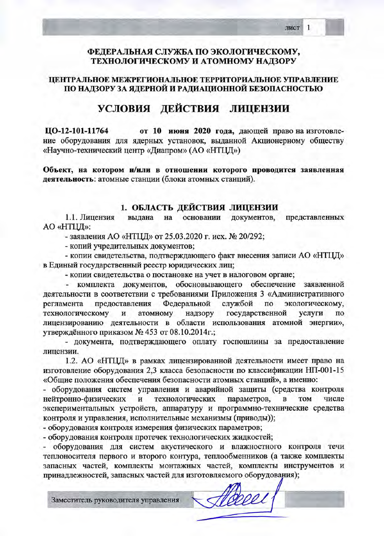### ФЕДЕРАЛЬНАЯ СЛУЖБА ПО ЭКОЛОГИЧЕСКОМУ, ТЕХНОЛОГИЧЕСКОМУ И АТОМНОМУ НАДЗОРУ

## ЦЕНТРАЛЬНОЕ МЕЖРЕГИОНАЛЬНОЕ ТЕРРИТОРИАЛЬНОЕ УПРАВЛЕНИЕ ПО НАДЗОРУ ЗА ЯДЕРНОЙ И РАДИАЦИОННОЙ БЕЗОПАСНОСТЬЮ

# УСЛОВИЯ ДЕЙСТВИЯ ЛИЦЕНЗИИ

ЦО-12-101-11764 от 10 июня 2020 года, дающей право на изготовление оборудования для ядерных установок, выданной Акционерному обществу «Научно-технический центр «Диапром» (АО «НТЦД»)

Объект, на котором и/или в отношении которого проводится заявленная деятельность: атомные станции (блоки атомных станций).

### 1. ОБЛАСТЬ ДЕЙСТВИЯ ЛИЦЕНЗИИ

1.1. Лицензия вылана на основании документов, представленных АО «НТЦД»:

- заявления АО «НТЦД» от 25.03.2020 г. исх. № 20/292;

- копий учредительных документов;

- копии свидетельства, подтверждающего факт внесения записи АО «НТЦД» в Единый государственный реестр юридических лиц;

- копии свидетельства о постановке на учет в налоговом органе;

комплекта документов, обосновывающего обеспечение заявленной деятельности в соответствии с требованиями Приложения 3 «Административного Федеральной службой экологическому, регламента предоставления по технологическому И атомному надзору государственной услуги по лицензированию деятельности в области использования атомной энергии», утверждённого приказом № 453 от 08.10.2014г.;

- документа, подтверждающего оплату госпошлины за предоставление лицензии.

1.2. АО «НТЦД» в рамках лицензированной деятельности имеет право на изготовление оборудования 2,3 класса безопасности по классификации НП-001-15 «Общие положения обеспечения безопасности атомных станций», а именно:

- оборудования систем управления и аварийной защиты (средства контроля технологических нейтронно-физических параметров, И  $\overline{\mathbf{B}}$ TOM числе экспериментальных устройств, аппаратуру и программно-технические средства контроля и управления, исполнительные механизмы (приводы));

- оборудования контроля измерения физических параметров;

- оборудования контроля протечек технологических жидкостей;

оборудования для систем акустического и влажностного контроля течи теплоносителя первого и второго контура, теплообменников (а также комплекты запасных частей, комплекты монтажных частей, комплекты инструментов и принадлежностей, запасных частей для изготовляемого оборудования);

Заместитель руководителя управления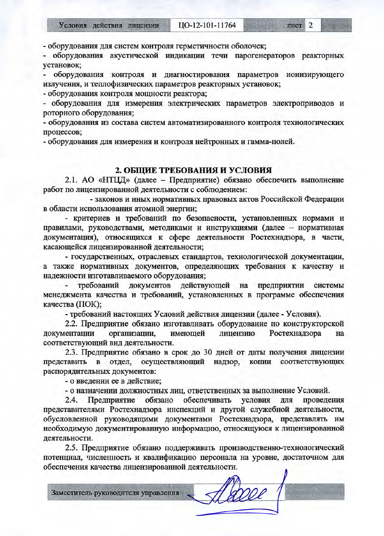лист 2

- оборудования акустической индикации течи парогенераторов реакторных установок;

оборудования контроля и диагностирования параметров ионизирующего излучения, и теплофизических параметров реакторных установок;

- оборудования контроля мощности реактора;

- оборудования для измерения электрических параметров электроприводов и роторного оборудования;

- оборудования из состава систем автоматизированного контроля технологических процессов;

- оборудования для измерения и контроля нейтронных и гамма-полей.

#### 2. ОБЩИЕ ТРЕБОВАНИЯ И УСЛОВИЯ

2.1. АО «НТЦД» (далее - Предприятие) обязано обеспечить выполнение работ по лицензированной деятельности с соблюдением:

- законов и иных нормативных правовых актов Российской Федерации в области использования атомной энергии;

- критериев и требований по безопасности, установленных нормами и правилами, руководствами, методиками и инструкциями (далее - нормативная документация), относящихся к сфере деятельности Ростехнадзора, в части, касающейся лицензированной деятельности;

- государственных, отраслевых стандартов, технологической документации, а также нормативных документов, определяющих требования к качеству и надежности изготавливаемого оборудования;

требований документов действующей на предприятии системы менеджмента качества и требований, установленных в программе обеспечения качества (ПОК);

- требований настоящих Условий действия лицензии (далее - Условия).

2.2. Предприятие обязано изготавливать оборудование по конструкторской документации Ростехнадзора организации, имеющей лицензию на соответствующий вид деятельности.

2.3. Предприятие обязано в срок до 30 дней от даты получения лицензии представить в отдел, осуществляющий копии соответствующих надзор, распорядительных документов:

- о введении ее в действие;

- о назначении должностных лиц, ответственных за выполнение Условий.

обеспечивать Предприятие обязано условия для проведения  $2.4.$ представителями Ростехнадзора инспекций и другой служебной деятельности, обусловленной руководящими документами Ростехнадзора, представлять им необходимую документированную информацию, относящуюся к лицензированной деятельности.

2.5. Предприятие обязано поддерживать производственно-технологический потенциал, численность и квалификацию персонала на уровне, достаточном для обеспечения качества лицензированной деятельности.

Заместитель руководителя управления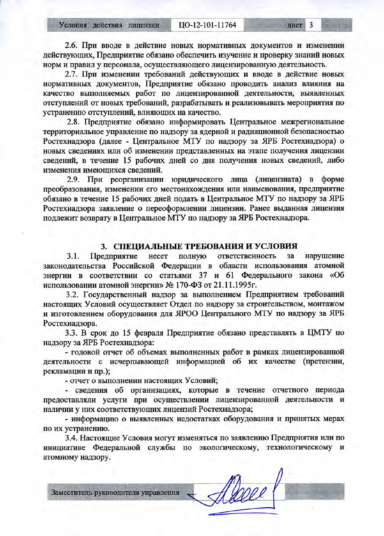Условия действия лицензии

лист 3

1019

2.6. При вводе в действие новых нормативных документов и изменении действующих, Предприятие обязано обеспечить изучение и проверку знаний новых норм и правил у персонала, осуществляющего лицензированную деятельность.

2.7. При изменении требований действующих и вводе в действие новых нормативных документов, Предприятие обязано проводить анализ влияния на качество выполняемых работ по лицензированной деятельности, выявленных отступлений от новых требований, разрабатывать и реализовывать мероприятия по устранению отступлений, влияющих на качество.

2.8. Предприятие обязано информировать Центральное межрегиональное территориальное управление по надзору за ядерной и радиационной безопасностью Ростехнадзора (далее - Центральное МТУ по надзору за ЯРБ Ростехнадзора) о новых сведениях или об изменении представленных на этапе получения лицензии сведений, в течение 15 рабочих дней со дня получения новых сведений, либо изменения имеющихся сведений.

2.9. При реорганизации юридического лица (лицензиата) в форме преобразования, изменении его местонахождения или наименования, предприятие обязано в течение 15 рабочих дней подать в Центральное МТУ по надзору за ЯРБ Ростехнадзора заявление о переоформлении лицензии. Ранее выданная лицензия подлежит возврату в Центральное МТУ по надзору за ЯРБ Ростехнадзора.

### 3. СПЕЦИАЛЬНЫЕ ТРЕБОВАНИЯ И УСЛОВИЯ

несет полную ответственность нарушение 3.1. Предприятие  $3a$ законодательства Российской Федерации в области использования атомной энергии в соответствии со статьями 37 и 61 Федерального закона «Об использовании атомной энергии» № 170-ФЗ от 21.11.1995г.

3.2. Государственный надзор за выполнением Предприятием требований настоящих Условий осуществляет Отдел по надзору за строительством, монтажом и изготовлением оборудования для ЯРОО Центрального МТУ по надзору за ЯРБ Ростехнадзора.

3.3. В срок до 15 февраля Предприятие обязано представлять в ЦМТУ по надзору за ЯРБ Ростехнадзора:

- годовой отчет об объемах выполненных работ в рамках лицензированной деятельности с исчерпывающей информацией об их качестве (претензии, рекламации и пр.);

- отчет о выполнении настоящих Условий;

- сведения об организациях, которые в течение отчетного периода предоставляли услуги при осуществлении лицензированной деятельности и наличии у них соответствующих лицензий Ростехнадзора;

- информацию о выявленных недостатках оборудования и принятых мерах по их устранению.

3.4. Настоящие Условия могут изменяться по заявлению Предприятия или по инициативе Федеральной службы по экологическому, технологическому и атомному надзору.

Заместитель руководителя управления

Deppe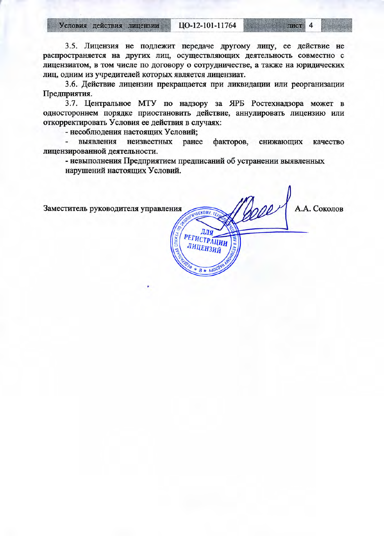Условия действия лицензии

ЦО-12-101-11764

лист 4

3.5. Лицензия не подлежит передаче другому лицу, ее действие не распространяется на других лиц, осуществляющих деятельность совместно с лицензиатом, в том числе по договору о сотрудничестве, а также на юридических лиц, одним из учредителей которых является лицензиат.

3.6. Действие лицензии прекращается при ликвидации или реорганизации Предприятия.

3.7. Центральное МТУ по надзору за ЯРБ Ростехнадзора может в одностороннем порядке приостановить действие, аннулировать лицензию или откорректировать Условия ее действия в случаях:

- несоблюдения настоящих Условий;

выявления неизвестных ранее факторов, снижающих качество лицензированной деятельности.

- невыполнения Предприятием предписаний об устранении выявленных нарушений настоящих Условий.

Beeer А.А. Соколов Заместитель руководителя управления **JECKOMY.** TEX ДЛЯ РЕГИСТРАЦИИ ЛИЦЕНЗИЙ  $96A * B$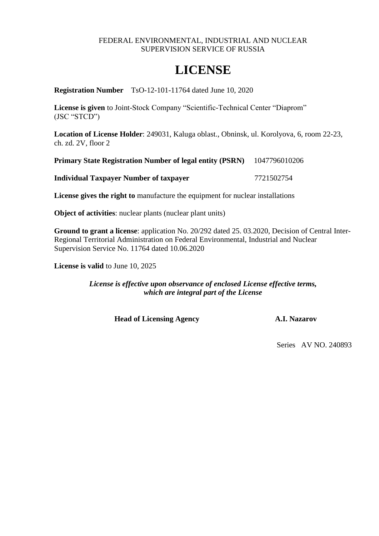### FEDERAL ENVIRONMENTAL, INDUSTRIAL AND NUCLEAR SUPERVISION SERVICE OF RUSSIA

# **LICENSE**

**Registration Number** TsO-12-101-11764 dated June 10, 2020

**License is given** to Joint-Stock Company "Scientific-Technical Center "Diaprom" (JSC "STCD")

**Location of License Holder**: 249031, Kaluga oblast., Obninsk, ul. Korolyova, 6, room 22-23, ch. zd. 2V, floor 2

**Primary State Registration Number of legal entity (PSRN)** 1047796010206

**Individual Taxpayer Number of taxpayer** 7721502754

**License gives the right to** manufacture the equipment for nuclear installations

**Object of activities**: nuclear plants (nuclear plant units)

**Ground to grant a license**: application No. 20/292 dated 25. 03.2020, Decision of Central Inter-Regional Territorial Administration on Federal Environmental, Industrial and Nuclear Supervision Service No. 11764 dated 10.06.2020

**License is valid** to June 10, 2025

*License is effective upon observance of enclosed License effective terms, which are integral part of the License* 

**Head of Licensing Agency A.I. Nazarov**

Series AV NO. 240893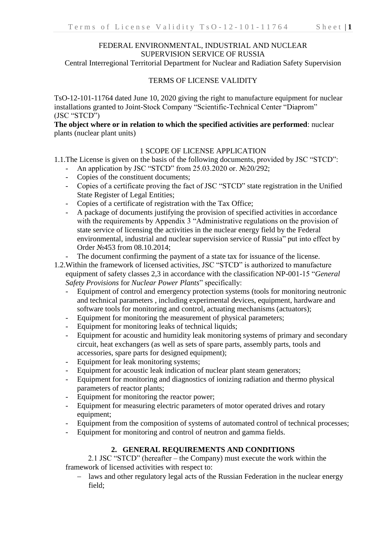### FEDERAL ENVIRONMENTAL, INDUSTRIAL AND NUCLEAR SUPERVISION SERVICE OF RUSSIA

Central Interregional Territorial Department for Nuclear and Radiation Safety Supervision

### TERMS OF LICENSE VALIDITY

TsO-12-101-11764 dated June 10, 2020 giving the right to manufacture equipment for nuclear installations granted to Joint-Stock Company "Scientific-Technical Center "Diaprom" (JSC "STCD")

### **The object where or in relation to which the specified activities are performed**: nuclear plants (nuclear plant units)

### 1 SCOPE OF LICENSE APPLICATION

1.1.The License is given on the basis of the following documents, provided by JSC "STCD":

- An application by JSC "STCD" from 25.03.2020 or. №20/292;
- Copies of the constituent documents;
- Copies of a certificate proving the fact of JSC "STCD" state registration in the Unified State Register of Legal Entities;
- Copies of a certificate of registration with the Tax Office;
- A package of documents justifying the provision of specified activities in accordance with the requirements by Appendix 3 "Administrative regulations on the provision of state service of licensing the activities in the nuclear energy field by the Federal environmental, industrial and nuclear supervision service of Russia" put into effect by Order №453 from 08.10.2014;
- The document confirming the payment of a state tax for issuance of the license.
- 1.2.Within the framework of licensed activities, JSC "STCD" is authorized to manufacture equipment of safety classes 2,3 in accordance with the classification NP-001-15 "*General Safety Provisions* for *Nuclear Power Plants*" specifically:
	- Equipment of control and emergency protection systems (tools for monitoring neutronic and technical parameters , including experimental devices, equipment, hardware and software tools for monitoring and control, actuating mechanisms (actuators);
	- Equipment for monitoring the measurement of physical parameters;
	- Equipment for monitoring leaks of technical liquids;
	- Equipment for acoustic and humidity leak monitoring systems of primary and secondary circuit, heat exchangers (as well as sets of spare parts, assembly parts, tools and accessories, spare parts for designed equipment);
	- Equipment for leak monitoring systems;
	- Equipment for acoustic leak indication of nuclear plant steam generators;
	- Equipment for monitoring and diagnostics of ionizing radiation and thermo physical parameters of reactor plants;
	- Equipment for monitoring the reactor power;
	- Equipment for measuring electric parameters of motor operated drives and rotary equipment;
	- Equipment from the composition of systems of automated control of technical processes;
	- Equipment for monitoring and control of neutron and gamma fields.

### **2. GENERAL REQUIREMENTS AND CONDITIONS**

2.1 JSC "STCD" (hereafter – the Company) must execute the work within the framework of licensed activities with respect to:

- laws and other regulatory legal acts of the Russian Federation in the nuclear energy field;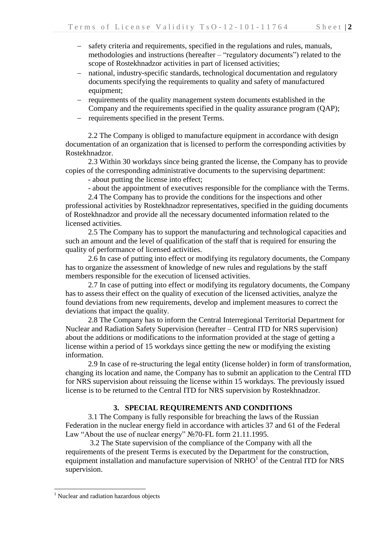- safety criteria and requirements, specified in the regulations and rules, manuals, methodologies and instructions (hereafter – "regulatory documents") related to the scope of Rostekhnadzor activities in part of licensed activities;
- national, industry-specific standards, technological documentation and regulatory documents specifying the requirements to quality and safety of manufactured equipment;
- requirements of the quality management system documents established in the Company and the requirements specified in the quality assurance program (QAP);
- requirements specified in the present Terms.

2.2 The Company is obliged to manufacture equipment in accordance with design documentation of an organization that is licensed to perform the corresponding activities by Rostekhnadzor.

2.3 Within 30 workdays since being granted the license, the Company has to provide copies of the corresponding administrative documents to the supervising department:

- about putting the license into effect;

- about the appointment of executives responsible for the compliance with the Terms.

2.4 The Company has to provide the conditions for the inspections and other professional activities by Rostekhnadzor representatives, specified in the guiding documents of Rostekhnadzor and provide all the necessary documented information related to the licensed activities.

2.5 The Company has to support the manufacturing and technological capacities and such an amount and the level of qualification of the staff that is required for ensuring the quality of performance of licensed activities.

2.6 In case of putting into effect or modifying its regulatory documents, the Company has to organize the assessment of knowledge of new rules and regulations by the staff members responsible for the execution of licensed activities.

2.7 In case of putting into effect or modifying its regulatory documents, the Company has to assess their effect on the quality of execution of the licensed activities, analyze the found deviations from new requirements, develop and implement measures to correct the deviations that impact the quality.

2.8 The Company has to inform the Central Interregional Territorial Department for Nuclear and Radiation Safety Supervision (hereafter – Central ITD for NRS supervision) about the additions or modifications to the information provided at the stage of getting a license within a period of 15 workdays since getting the new or modifying the existing information.

2.9 In case of re-structuring the legal entity (license holder) in form of transformation, changing its location and name, the Company has to submit an application to the Central ITD for NRS supervision about reissuing the license within 15 workdays. The previously issued license is to be returned to the Central ITD for NRS supervision by Rostekhnadzor.

## **3. SPECIAL REQUIREMENTS AND CONDITIONS**

3.1 The Company is fully responsible for breaching the laws of the Russian Federation in the nuclear energy field in accordance with articles 37 and 61 of the Federal Law "About the use of nuclear energy" №70-FL form 21.11.1995.

3.2 The State supervision of the compliance of the Company with all the requirements of the present Terms is executed by the Department for the construction, equipment installation and manufacture supervision of  $\overline{NRHO}^1$  of the Central ITD for NRS supervision.

1

<sup>&</sup>lt;sup>1</sup> Nuclear and radiation hazardous objects